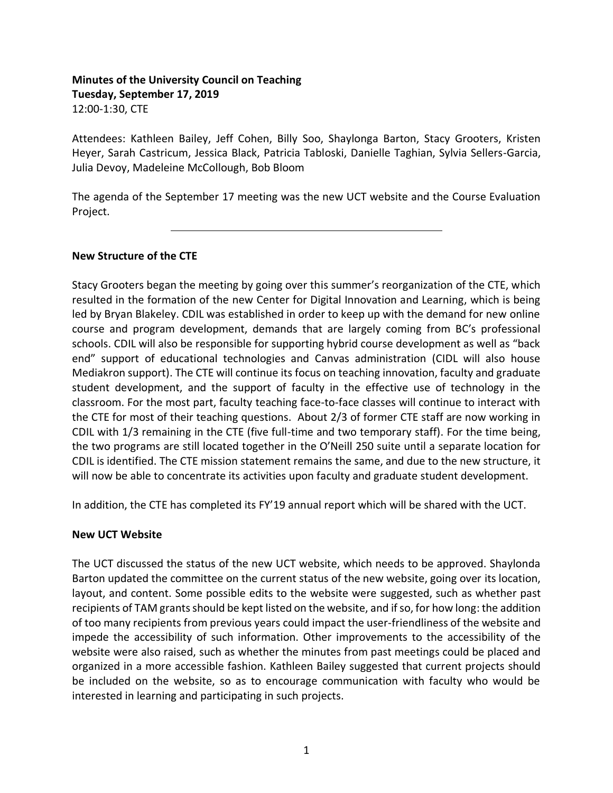# **Minutes of the University Council on Teaching Tuesday, September 17, 2019** 12:00-1:30, CTE

Attendees: Kathleen Bailey, Jeff Cohen, Billy Soo, Shaylonga Barton, Stacy Grooters, Kristen Heyer, Sarah Castricum, Jessica Black, Patricia Tabloski, Danielle Taghian, Sylvia Sellers-Garcia, Julia Devoy, Madeleine McCollough, Bob Bloom

The agenda of the September 17 meeting was the new UCT website and the Course Evaluation Project.

### **New Structure of the CTE**

 $\overline{a}$ 

Stacy Grooters began the meeting by going over this summer's reorganization of the CTE, which resulted in the formation of the new Center for Digital Innovation and Learning, which is being led by Bryan Blakeley. CDIL was established in order to keep up with the demand for new online course and program development, demands that are largely coming from BC's professional schools. CDIL will also be responsible for supporting hybrid course development as well as "back end" support of educational technologies and Canvas administration (CIDL will also house Mediakron support). The CTE will continue its focus on teaching innovation, faculty and graduate student development, and the support of faculty in the effective use of technology in the classroom. For the most part, faculty teaching face-to-face classes will continue to interact with the CTE for most of their teaching questions. About 2/3 of former CTE staff are now working in CDIL with 1/3 remaining in the CTE (five full-time and two temporary staff). For the time being, the two programs are still located together in the O'Neill 250 suite until a separate location for CDIL is identified. The CTE mission statement remains the same, and due to the new structure, it will now be able to concentrate its activities upon faculty and graduate student development.

In addition, the CTE has completed its FY'19 annual report which will be shared with the UCT.

### **New UCT Website**

The UCT discussed the status of the new UCT website, which needs to be approved. Shaylonda Barton updated the committee on the current status of the new website, going over its location, layout, and content. Some possible edits to the website were suggested, such as whether past recipients of TAM grants should be kept listed on the website, and if so, for how long: the addition of too many recipients from previous years could impact the user-friendliness of the website and impede the accessibility of such information. Other improvements to the accessibility of the website were also raised, such as whether the minutes from past meetings could be placed and organized in a more accessible fashion. Kathleen Bailey suggested that current projects should be included on the website, so as to encourage communication with faculty who would be interested in learning and participating in such projects.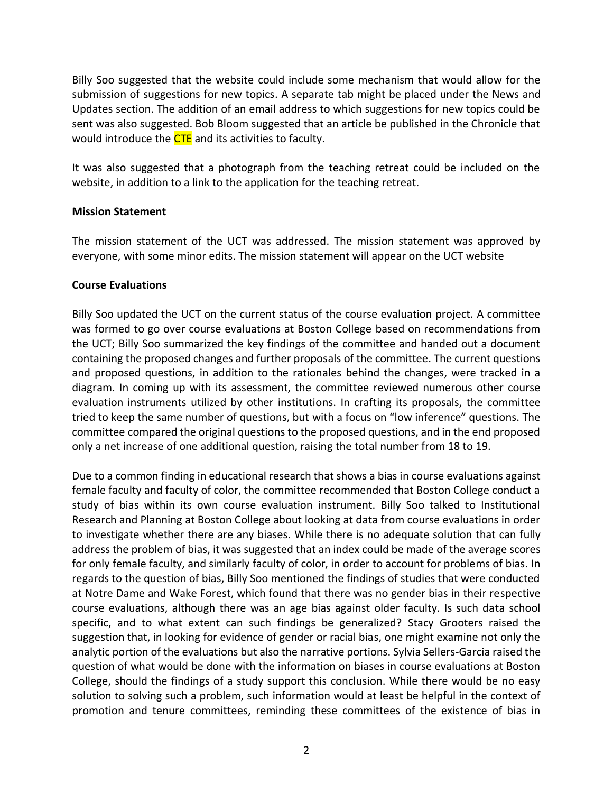Billy Soo suggested that the website could include some mechanism that would allow for the submission of suggestions for new topics. A separate tab might be placed under the News and Updates section. The addition of an email address to which suggestions for new topics could be sent was also suggested. Bob Bloom suggested that an article be published in the Chronicle that would introduce the CTE and its activities to faculty.

It was also suggested that a photograph from the teaching retreat could be included on the website, in addition to a link to the application for the teaching retreat.

### **Mission Statement**

The mission statement of the UCT was addressed. The mission statement was approved by everyone, with some minor edits. The mission statement will appear on the UCT website

#### **Course Evaluations**

Billy Soo updated the UCT on the current status of the course evaluation project. A committee was formed to go over course evaluations at Boston College based on recommendations from the UCT; Billy Soo summarized the key findings of the committee and handed out a document containing the proposed changes and further proposals of the committee. The current questions and proposed questions, in addition to the rationales behind the changes, were tracked in a diagram. In coming up with its assessment, the committee reviewed numerous other course evaluation instruments utilized by other institutions. In crafting its proposals, the committee tried to keep the same number of questions, but with a focus on "low inference" questions. The committee compared the original questions to the proposed questions, and in the end proposed only a net increase of one additional question, raising the total number from 18 to 19.

Due to a common finding in educational research that shows a bias in course evaluations against female faculty and faculty of color, the committee recommended that Boston College conduct a study of bias within its own course evaluation instrument. Billy Soo talked to Institutional Research and Planning at Boston College about looking at data from course evaluations in order to investigate whether there are any biases. While there is no adequate solution that can fully address the problem of bias, it was suggested that an index could be made of the average scores for only female faculty, and similarly faculty of color, in order to account for problems of bias. In regards to the question of bias, Billy Soo mentioned the findings of studies that were conducted at Notre Dame and Wake Forest, which found that there was no gender bias in their respective course evaluations, although there was an age bias against older faculty. Is such data school specific, and to what extent can such findings be generalized? Stacy Grooters raised the suggestion that, in looking for evidence of gender or racial bias, one might examine not only the analytic portion of the evaluations but also the narrative portions. Sylvia Sellers-Garcia raised the question of what would be done with the information on biases in course evaluations at Boston College, should the findings of a study support this conclusion. While there would be no easy solution to solving such a problem, such information would at least be helpful in the context of promotion and tenure committees, reminding these committees of the existence of bias in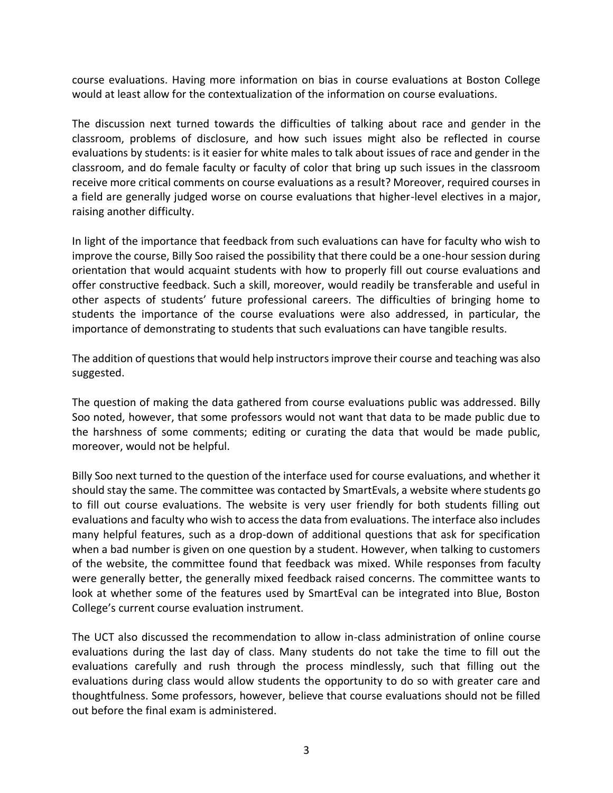course evaluations. Having more information on bias in course evaluations at Boston College would at least allow for the contextualization of the information on course evaluations.

The discussion next turned towards the difficulties of talking about race and gender in the classroom, problems of disclosure, and how such issues might also be reflected in course evaluations by students: is it easier for white males to talk about issues of race and gender in the classroom, and do female faculty or faculty of color that bring up such issues in the classroom receive more critical comments on course evaluations as a result? Moreover, required courses in a field are generally judged worse on course evaluations that higher-level electives in a major, raising another difficulty.

In light of the importance that feedback from such evaluations can have for faculty who wish to improve the course, Billy Soo raised the possibility that there could be a one-hour session during orientation that would acquaint students with how to properly fill out course evaluations and offer constructive feedback. Such a skill, moreover, would readily be transferable and useful in other aspects of students' future professional careers. The difficulties of bringing home to students the importance of the course evaluations were also addressed, in particular, the importance of demonstrating to students that such evaluations can have tangible results.

The addition of questions that would help instructors improve their course and teaching was also suggested.

The question of making the data gathered from course evaluations public was addressed. Billy Soo noted, however, that some professors would not want that data to be made public due to the harshness of some comments; editing or curating the data that would be made public, moreover, would not be helpful.

Billy Soo next turned to the question of the interface used for course evaluations, and whether it should stay the same. The committee was contacted by SmartEvals, a website where students go to fill out course evaluations. The website is very user friendly for both students filling out evaluations and faculty who wish to access the data from evaluations. The interface also includes many helpful features, such as a drop-down of additional questions that ask for specification when a bad number is given on one question by a student. However, when talking to customers of the website, the committee found that feedback was mixed. While responses from faculty were generally better, the generally mixed feedback raised concerns. The committee wants to look at whether some of the features used by SmartEval can be integrated into Blue, Boston College's current course evaluation instrument.

The UCT also discussed the recommendation to allow in-class administration of online course evaluations during the last day of class. Many students do not take the time to fill out the evaluations carefully and rush through the process mindlessly, such that filling out the evaluations during class would allow students the opportunity to do so with greater care and thoughtfulness. Some professors, however, believe that course evaluations should not be filled out before the final exam is administered.